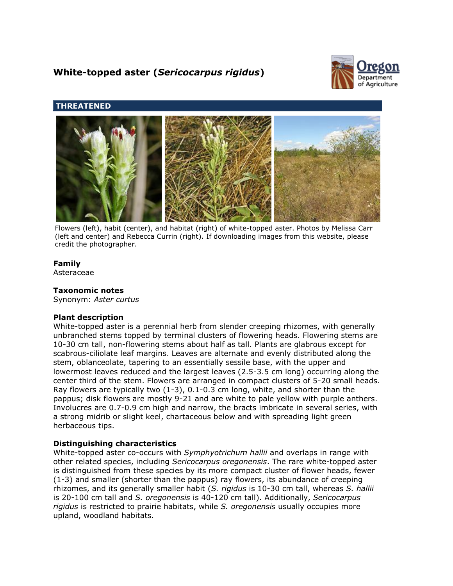# **White-topped aster (***Sericocarpus rigidus***)**



## **THREATENED**



Flowers (left), habit (center), and habitat (right) of white-topped aster. Photos by Melissa Carr (left and center) and Rebecca Currin (right). If downloading images from this website, please credit the photographer.

## **Family**

Asteraceae

## **Taxonomic notes**

Synonym: *Aster curtus*

## **Plant description**

White-topped aster is a perennial herb from slender creeping rhizomes, with generally unbranched stems topped by terminal clusters of flowering heads. Flowering stems are 10-30 cm tall, non-flowering stems about half as tall. Plants are glabrous except for scabrous-ciliolate leaf margins. Leaves are alternate and evenly distributed along the stem, oblanceolate, tapering to an essentially sessile base, with the upper and lowermost leaves reduced and the largest leaves (2.5-3.5 cm long) occurring along the center third of the stem. Flowers are arranged in compact clusters of 5-20 small heads. Ray flowers are typically two (1-3), 0.1-0.3 cm long, white, and shorter than the pappus; disk flowers are mostly 9-21 and are white to pale yellow with purple anthers. Involucres are 0.7-0.9 cm high and narrow, the bracts imbricate in several series, with a strong midrib or slight keel, chartaceous below and with spreading light green herbaceous tips.

## **Distinguishing characteristics**

White-topped aster co-occurs with *Symphyotrichum hallii* and overlaps in range with other related species, including *Sericocarpus oregonensis*. The rare white-topped aster is distinguished from these species by its more compact cluster of flower heads, fewer (1-3) and smaller (shorter than the pappus) ray flowers, its abundance of creeping rhizomes, and its generally smaller habit (*S. rigidus* is 10-30 cm tall, whereas *S. hallii* is 20-100 cm tall and *S. oregonensis* is 40-120 cm tall). Additionally, *Sericocarpus rigidus* is restricted to prairie habitats, while *S. oregonensis* usually occupies more upland, woodland habitats.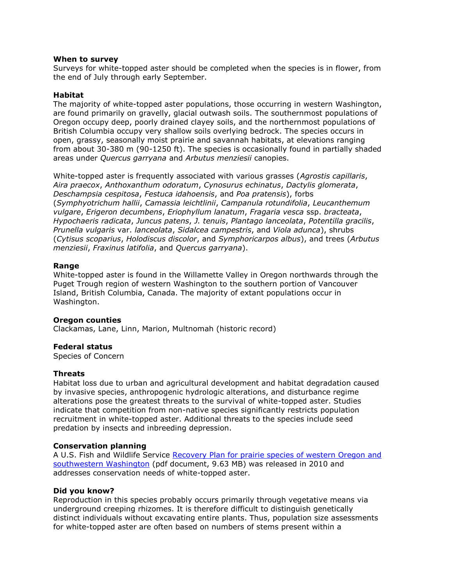#### **When to survey**

Surveys for white-topped aster should be completed when the species is in flower, from the end of July through early September.

## **Habitat**

The majority of white-topped aster populations, those occurring in western Washington, are found primarily on gravelly, glacial outwash soils. The southernmost populations of Oregon occupy deep, poorly drained clayey soils, and the northernmost populations of British Columbia occupy very shallow soils overlying bedrock. The species occurs in open, grassy, seasonally moist prairie and savannah habitats, at elevations ranging from about 30-380 m (90-1250 ft). The species is occasionally found in partially shaded areas under *Quercus garryana* and *Arbutus menziesii* canopies.

White-topped aster is frequently associated with various grasses (*Agrostis capillaris*, *Aira praecox*, *Anthoxanthum odoratum*, *Cynosurus echinatus*, *Dactylis glomerata*, *Deschampsia cespitosa*, *Festuca idahoensis*, and *Poa pratensis*), forbs (*Symphyotrichum hallii*, *Camassia leichtlinii*, *Campanula rotundifolia*, *Leucanthemum vulgare*, *Erigeron decumbens*, *Eriophyllum lanatum*, *Fragaria vesca* ssp. *bracteata*, *Hypochaeris radicata*, *Juncus patens*, *J. tenuis*, *Plantago lanceolata*, *Potentilla gracilis*, *Prunella vulgaris* var. *lanceolata*, *Sidalcea campestris*, and *Viola adunca*), shrubs (*Cytisus scoparius*, *Holodiscus discolor*, and *Symphoricarpos albus*), and trees (*Arbutus menziesii*, *Fraxinus latifolia*, and *Quercus garryana*).

#### **Range**

White-topped aster is found in the Willamette Valley in Oregon northwards through the Puget Trough region of western Washington to the southern portion of Vancouver Island, British Columbia, Canada. The majority of extant populations occur in Washington.

#### **Oregon counties**

Clackamas, Lane, Linn, Marion, Multnomah (historic record)

#### **Federal status**

Species of Concern

#### **Threats**

Habitat loss due to urban and agricultural development and habitat degradation caused by invasive species, anthropogenic hydrologic alterations, and disturbance regime alterations pose the greatest threats to the survival of white-topped aster. Studies indicate that competition from non-native species significantly restricts population recruitment in white-topped aster. Additional threats to the species include seed predation by insects and inbreeding depression.

## **Conservation planning**

A U.S. Fish and Wildlife Service Recovery Plan for prairie species of western Oregon and [southwestern Washington](http://ecos.fws.gov/docs/recovery_plan/100629.pdf) (pdf document, 9.63 MB) was released in 2010 and addresses conservation needs of white-topped aster.

#### **Did you know?**

Reproduction in this species probably occurs primarily through vegetative means via underground creeping rhizomes. It is therefore difficult to distinguish genetically distinct individuals without excavating entire plants. Thus, population size assessments for white-topped aster are often based on numbers of stems present within a